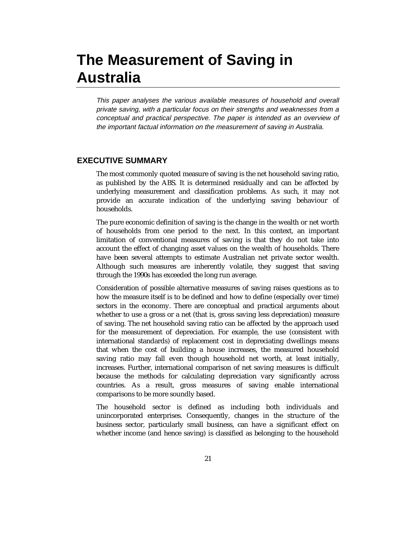# **The Measurement of Saving in Australia**

This paper analyses the various available measures of household and overall private saving, with a particular focus on their strengths and weaknesses from a conceptual and practical perspective. The paper is intended as an overview of the important factual information on the measurement of saving in Australia.

# **EXECUTIVE SUMMARY**

The most commonly quoted measure of saving is the net household saving ratio, as published by the ABS. It is determined residually and can be affected by underlying measurement and classification problems. As such, it may not provide an accurate indication of the underlying saving behaviour of households.

The pure economic definition of saving is the change in the wealth or net worth of households from one period to the next. In this context, an important limitation of conventional measures of saving is that they do not take into account the effect of changing asset values on the wealth of households. There have been several attempts to estimate Australian net private sector wealth. Although such measures are inherently volatile, they suggest that saving through the 1990s has exceeded the long run average.

Consideration of possible alternative measures of saving raises questions as to how the measure itself is to be defined and how to define (especially over time) sectors in the economy. There are conceptual and practical arguments about whether to use a gross or a net (that is, gross saving less depreciation) measure of saving. The net household saving ratio can be affected by the approach used for the measurement of depreciation. For example, the use (consistent with international standards) of replacement cost in depreciating dwellings means that when the cost of building a house increases, the measured household saving ratio may fall even though household net worth, at least initially, increases. Further, international comparison of net saving measures is difficult because the methods for calculating depreciation vary significantly across countries. As a result, gross measures of saving enable international comparisons to be more soundly based.

The household sector is defined as including both individuals and unincorporated enterprises. Consequently, changes in the structure of the business sector, particularly small business, can have a significant effect on whether income (and hence saving) is classified as belonging to the household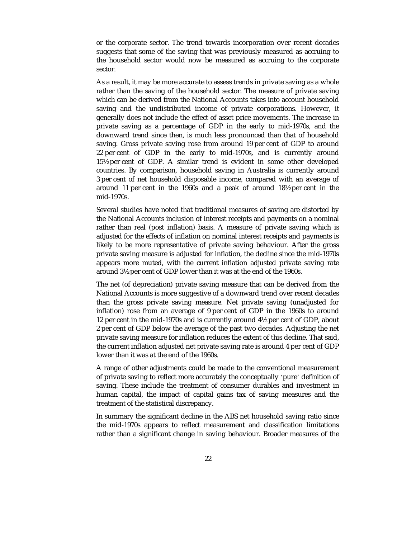or the corporate sector. The trend towards incorporation over recent decades suggests that some of the saving that was previously measured as accruing to the household sector would now be measured as accruing to the corporate sector.

As a result, it may be more accurate to assess trends in private saving as a whole rather than the saving of the household sector. The measure of private saving which can be derived from the National Accounts takes into account household saving and the undistributed income of private corporations. However, it generally does not include the effect of asset price movements. The increase in private saving as a percentage of GDP in the early to mid-1970s, and the downward trend since then, is much less pronounced than that of household saving. Gross private saving rose from around 19 per cent of GDP to around 22 per cent of GDP in the early to mid-1970s, and is currently around 15½ per cent of GDP. A similar trend is evident in some other developed countries. By comparison, household saving in Australia is currently around 3 per cent of net household disposable income, compared with an average of around 11 per cent in the 1960s and a peak of around 18½ per cent in the mid-1970s.

Several studies have noted that traditional measures of saving are distorted by the National Accounts inclusion of interest receipts and payments on a nominal rather than real (post inflation) basis. A measure of private saving which is adjusted for the effects of inflation on nominal interest receipts and payments is likely to be more representative of private saving behaviour. After the gross private saving measure is adjusted for inflation, the decline since the mid-1970s appears more muted, with the current inflation adjusted private saving rate around 3½ per cent of GDP lower than it was at the end of the 1960s.

The net (of depreciation) private saving measure that can be derived from the National Accounts is more suggestive of a downward trend over recent decades than the gross private saving measure. Net private saving (unadjusted for inflation) rose from an average of 9 per cent of GDP in the 1960s to around 12 per cent in the mid-1970s and is currently around 4½ per cent of GDP, about 2 per cent of GDP below the average of the past two decades. Adjusting the net private saving measure for inflation reduces the extent of this decline. That said, the current inflation adjusted net private saving rate is around 4 per cent of GDP lower than it was at the end of the 1960s.

A range of other adjustments could be made to the conventional measurement of private saving to reflect more accurately the conceptually 'pure' definition of saving. These include the treatment of consumer durables and investment in human capital, the impact of capital gains tax of saving measures and the treatment of the statistical discrepancy.

In summary the significant decline in the ABS net household saving ratio since the mid-1970s appears to reflect measurement and classification limitations rather than a significant change in saving behaviour. Broader measures of the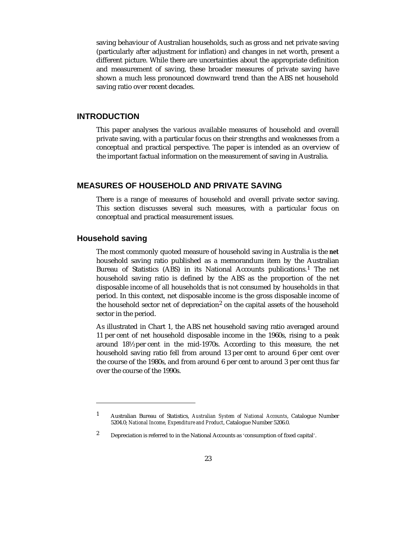saving behaviour of Australian households, such as gross and net private saving (particularly after adjustment for inflation) and changes in net worth, present a different picture. While there are uncertainties about the appropriate definition and measurement of saving, these broader measures of private saving have shown a much less pronounced downward trend than the ABS net household saving ratio over recent decades.

# **INTRODUCTION**

This paper analyses the various available measures of household and overall private saving, with a particular focus on their strengths and weaknesses from a conceptual and practical perspective. The paper is intended as an overview of the important factual information on the measurement of saving in Australia.

# **MEASURES OF HOUSEHOLD AND PRIVATE SAVING**

There is a range of measures of household and overall private sector saving. This section discusses several such measures, with a particular focus on conceptual and practical measurement issues.

# **Household saving**

-

The most commonly quoted measure of household saving in Australia is the *net* household saving ratio published as a memorandum item by the Australian Bureau of Statistics (ABS) in its National Accounts publications.<sup>1</sup> The net household saving ratio is defined by the ABS as the proportion of the net disposable income of all households that is not consumed by households in that period. In this context, net disposable income is the gross disposable income of the household sector net of depreciation<sup>2</sup> on the capital assets of the household sector in the period.

As illustrated in Chart 1, the ABS net household saving ratio averaged around 11 per cent of net household disposable income in the 1960s, rising to a peak around 18½ per cent in the mid-1970s. According to this measure, the net household saving ratio fell from around 13 per cent to around 6 per cent over the course of the 1980s, and from around 6 per cent to around 3 per cent thus far over the course of the 1990s.

<sup>1</sup> Australian Bureau of Statistics, *Australian System of National Accounts*, Catalogue Number 5204.0; *National Income, Expenditure and Product*, Catalogue Number 5206.0.

<sup>2</sup> Depreciation is referred to in the National Accounts as 'consumption of fixed capital'.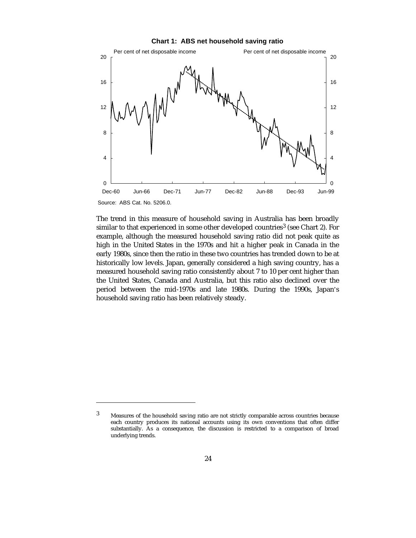



The trend in this measure of household saving in Australia has been broadly similar to that experienced in some other developed countries<sup>3</sup> (see Chart 2). For example, although the measured household saving ratio did not peak quite as high in the United States in the 1970s and hit a higher peak in Canada in the early 1980s, since then the ratio in these two countries has trended down to be at historically low levels. Japan, generally considered a high saving country, has a measured household saving ratio consistently about 7 to 10 per cent higher than the United States, Canada and Australia, but this ratio also declined over the period between the mid-1970s and late 1980s. During the 1990s, Japan's household saving ratio has been relatively steady.

 $\overline{a}$ 

<sup>3</sup> Measures of the household saving ratio are not strictly comparable across countries because each country produces its national accounts using its own conventions that often differ substantially. As a consequence, the discussion is restricted to a comparison of broad underlying trends.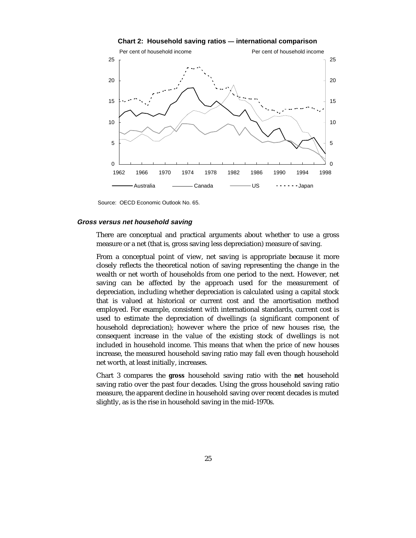

**Chart 2: Household saving ratios — international comparison**

Source: OECD Economic Outlook No. 65.

#### **Gross versus net household saving**

There are conceptual and practical arguments about whether to use a gross measure or a net (that is, gross saving less depreciation) measure of saving.

From a conceptual point of view, net saving is appropriate because it more closely reflects the theoretical notion of saving representing the change in the wealth or net worth of households from one period to the next. However, net saving can be affected by the approach used for the measurement of depreciation, including whether depreciation is calculated using a capital stock that is valued at historical or current cost and the amortisation method employed. For example, consistent with international standards, current cost is used to estimate the depreciation of dwellings (a significant component of household depreciation); however where the price of new houses rise, the consequent increase in the value of the existing stock of dwellings is not included in household income. This means that when the price of new houses increase, the measured household saving ratio may fall even though household net worth, at least initially, increases.

Chart 3 compares the *gross* household saving ratio with the *net* household saving ratio over the past four decades. Using the gross household saving ratio measure, the apparent decline in household saving over recent decades is muted slightly, as is the rise in household saving in the mid-1970s.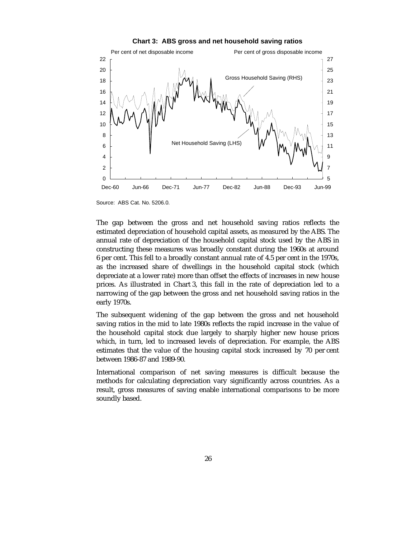

**Chart 3: ABS gross and net household saving ratios**

0 2 4

12 14

The gap between the gross and net household saving ratios reflects the estimated depreciation of household capital assets, as measured by the ABS. The annual rate of depreciation of the household capital stock used by the ABS in constructing these measures was broadly constant during the 1960s at around 6 per cent. This fell to a broadly constant annual rate of 4.5 per cent in the 1970s, as the increased share of dwellings in the household capital stock (which depreciate at a lower rate) more than offset the effects of increases in new house prices. As illustrated in Chart 3, this fall in the rate of depreciation led to a narrowing of the gap between the gross and net household saving ratios in the early 1970s.

Dec-60 Jun-66 Dec-71 Jun-77 Dec-82 Jun-88 Dec-93 Jun-99

5 7 9

The subsequent widening of the gap between the gross and net household saving ratios in the mid to late 1980s reflects the rapid increase in the value of the household capital stock due largely to sharply higher new house prices which, in turn, led to increased levels of depreciation. For example, the ABS estimates that the value of the housing capital stock increased by 70 per cent between 1986-87 and 1989-90.

International comparison of net saving measures is difficult because the methods for calculating depreciation vary significantly across countries. As a result, gross measures of saving enable international comparisons to be more soundly based.

Source: ABS Cat. No. 5206.0.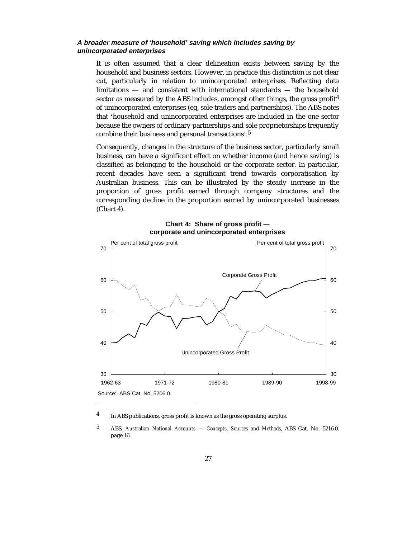### **A broader measure of 'household' saving which includes saving by unincorporated enterprises**

It is often assumed that a clear delineation exists between saving by the household and business sectors. However, in practice this distinction is not clear cut, particularly in relation to unincorporated enterprises. Reflecting data limitations — and consistent with international standards — the household sector as measured by the ABS includes, amongst other things, the gross profit<sup>4</sup> of unincorporated enterprises (eg, sole traders and partnerships). The ABS notes that 'household and unincorporated enterprises are included in the one sector because the owners of ordinary partnerships and sole proprietorships frequently combine their business and personal transactions'.<sup>5</sup>

Consequently, changes in the structure of the business sector, particularly small business, can have a significant effect on whether income (and hence saving) is classified as belonging to the household or the corporate sector. In particular, recent decades have seen a significant trend towards corporatisation by Australian business. This can be illustrated by the steady increase in the proportion of gross profit earned through company structures and the corresponding decline in the proportion earned by unincorporated businesses (Chart 4).



# **Chart 4: Share of gross profit corporate and unincorporated enterprises**

-

<sup>4</sup> In ABS publications, gross profit is known as the gross operating surplus.

<sup>5</sup> ABS, *Australian National Accounts — Concepts, Sources and Methods*, ABS Cat. No. 5216.0, page 16.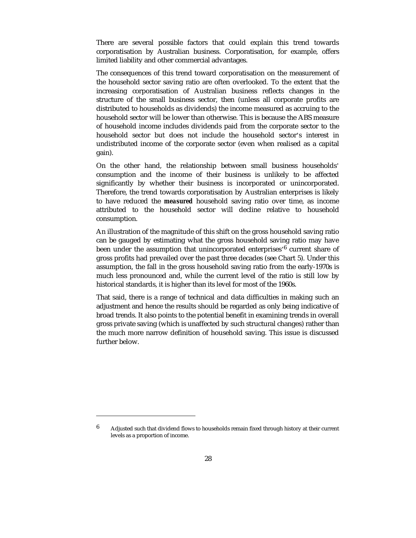There are several possible factors that could explain this trend towards corporatisation by Australian business. Corporatisation, for example, offers limited liability and other commercial advantages.

The consequences of this trend toward corporatisation on the measurement of the household sector saving ratio are often overlooked. To the extent that the increasing corporatisation of Australian business reflects changes in the structure of the small business sector, then (unless all corporate profits are distributed to households as dividends) the income measured as accruing to the household sector will be lower than otherwise. This is because the ABS measure of household income includes dividends paid from the corporate sector to the household sector but does not include the household sector's interest in undistributed income of the corporate sector (even when realised as a capital gain).

On the other hand, the relationship between small business households' consumption and the income of their business is unlikely to be affected significantly by whether their business is incorporated or unincorporated. Therefore, the trend towards corporatisation by Australian enterprises is likely to have reduced the *measured* household saving ratio over time, as income attributed to the household sector will decline relative to household consumption.

An illustration of the magnitude of this shift on the gross household saving ratio can be gauged by estimating what the gross household saving ratio may have been under the assumption that unincorporated enterprises'<sup>6</sup> current share of gross profits had prevailed over the past three decades (see Chart 5). Under this assumption, the fall in the gross household saving ratio from the early-1970s is much less pronounced and, while the current level of the ratio is still low by historical standards, it is higher than its level for most of the 1960s.

That said, there is a range of technical and data difficulties in making such an adjustment and hence the results should be regarded as only being indicative of broad trends. It also points to the potential benefit in examining trends in overall gross private saving (which is unaffected by such structural changes) rather than the much more narrow definition of household saving. This issue is discussed further below.

-

 $6$  Adjusted such that dividend flows to households remain fixed through history at their current levels as a proportion of income.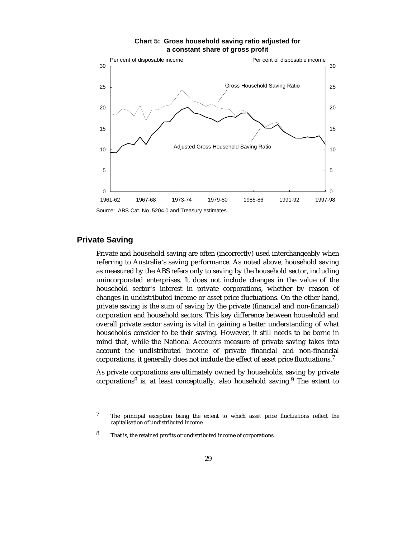

#### **Chart 5: Gross household saving ratio adjusted for a constant share of gross profit**

Source: ABS Cat. No. 5204.0 and Treasury estimates.

# **Private Saving**

-

Private and household saving are often (incorrectly) used interchangeably when referring to Australia's saving performance. As noted above, household saving as measured by the ABS refers only to saving by the household sector, including unincorporated enterprises. It does not include changes in the value of the household sector's interest in private corporations, whether by reason of changes in undistributed income or asset price fluctuations. On the other hand, private saving is the sum of saving by the private (financial and non-financial) corporation and household sectors. This key difference between household and overall private sector saving is vital in gaining a better understanding of what households consider to be *their* saving. However, it still needs to be borne in mind that, while the National Accounts measure of private saving takes into account the undistributed income of private financial and non-financial corporations, it generally does not include the effect of asset price fluctuations.<sup>7</sup>

As private corporations are ultimately owned by households, saving by private corporations $8$  is, at least conceptually, also household saving. $9$  The extent to

<sup>7</sup> The principal exception being the extent to which asset price fluctuations reflect the capitalisation of undistributed income.

<sup>8</sup> That is, the retained profits or undistributed income of corporations.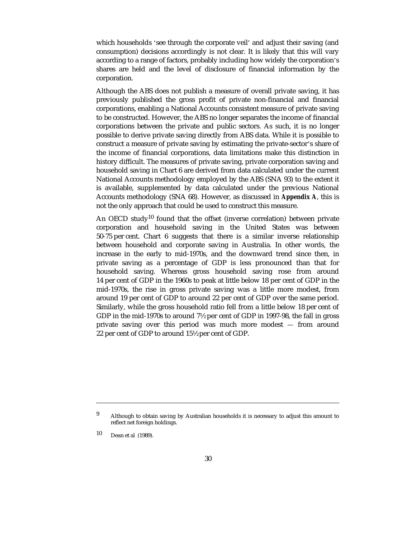which households 'see through the corporate veil' and adjust their saving (and consumption) decisions accordingly is not clear. It is likely that this will vary according to a range of factors, probably including how widely the corporation's shares are held and the level of disclosure of financial information by the corporation.

Although the ABS does not publish a measure of overall private saving, it has previously published the gross profit of private non-financial and financial corporations, enabling a National Accounts consistent measure of private saving to be constructed. However, the ABS no longer separates the income of financial corporations between the private and public sectors. As such, it is no longer possible to derive private saving directly from ABS data. While it is possible to construct a measure of private saving by estimating the private-sector's share of the income of financial corporations, data limitations make this distinction in history difficult. The measures of private saving, private corporation saving and household saving in Chart 6 are derived from data calculated under the current National Accounts methodology employed by the ABS (SNA 93) to the extent it is available, supplemented by data calculated under the previous National Accounts methodology (SNA 68). However, as discussed in *Appendix A*, this is not the only approach that could be used to construct this measure.

An OECD study<sup>10</sup> found that the offset (inverse correlation) between private corporation and household saving in the United States was between 50-75 per cent. Chart 6 suggests that there is a similar inverse relationship between household and corporate saving in Australia. In other words, the increase in the early to mid-1970s, and the downward trend since then, in private saving as a percentage of GDP is less pronounced than that for household saving. Whereas gross household saving rose from around 14 per cent of GDP in the 1960s to peak at little below 18 per cent of GDP in the mid-1970s, the rise in gross private saving was a little more modest, from around 19 per cent of GDP to around 22 per cent of GDP over the same period. Similarly, while the gross household ratio fell from a little below 18 per cent of GDP in the mid-1970s to around 7½ per cent of GDP in 1997-98, the fall in gross private saving over this period was much more modest — from around 22 per cent of GDP to around 15½ per cent of GDP.

10 Dean et al (1989).

-

<sup>9</sup> Although to obtain saving by Australian households it is necessary to adjust this amount to reflect net foreign holdings.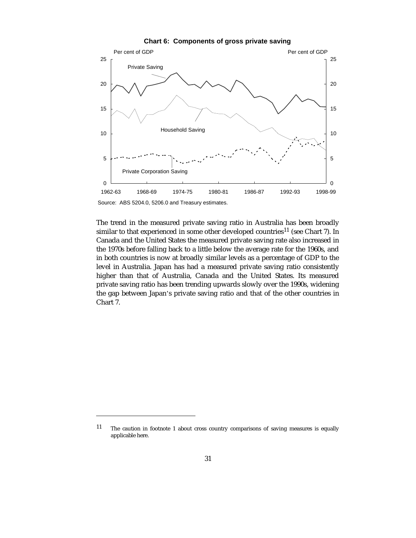

**Chart 6: Components of gross private saving**

Source: ABS 5204.0, 5206.0 and Treasury estimates.

-

The trend in the measured private saving ratio in Australia has been broadly similar to that experienced in some other developed countries<sup>11</sup> (see Chart 7). In Canada and the United States the measured private saving rate also increased in the 1970s before falling back to a little below the average rate for the 1960s, and in both countries is now at broadly similar levels as a percentage of GDP to the level in Australia. Japan has had a measured private saving ratio consistently higher than that of Australia, Canada and the United States. Its measured private saving ratio has been trending upwards slowly over the 1990s, widening the gap between Japan's private saving ratio and that of the other countries in Chart 7.

<sup>11</sup> The caution in footnote 1 about cross country comparisons of saving measures is equally applicable here.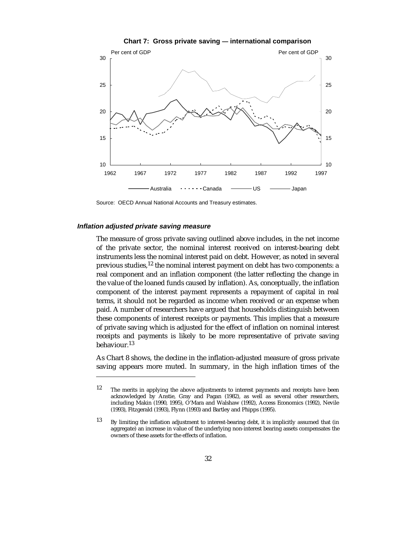

**Chart 7: Gross private saving — international comparison**

Source: OECD Annual National Accounts and Treasury estimates.

#### **Inflation adjusted private saving measure**

-

The measure of gross private saving outlined above includes, in the net income of the private sector, the nominal interest received on interest-bearing debt instruments less the nominal interest paid on debt. However, as noted in several previous studies,12 the nominal interest payment on debt has two components: a real component and an inflation component (the latter reflecting the change in the value of the loaned funds caused by inflation). As, conceptually, the inflation component of the interest payment represents a repayment of capital in real terms, it should not be regarded as income when received or an expense when paid. A number of researchers have argued that households distinguish between these components of interest receipts or payments. This implies that a measure of private saving which is adjusted for the effect of inflation on nominal interest receipts and payments is likely to be more representative of private saving behaviour.<sup>13</sup>

As Chart 8 shows, the decline in the inflation-adjusted measure of gross private saving appears more muted. In summary, in the high inflation times of the

<sup>12</sup> The merits in applying the above adjustments to interest payments and receipts have been acknowledged by Anstie, Gray and Pagan (1982), as well as several other researchers, including Makin (1990, 1995), O'Mara and Walshaw (1992), Access Economics (1992), Nevile (1993), Fitzgerald (1993), Flynn (1993) and Bartley and Phipps (1995).

<sup>13</sup> By limiting the inflation adjustment to interest-bearing debt, it is implicitly assumed that (in aggregate) an increase in value of the underlying non-interest bearing assets compensates the owners of these assets for the effects of inflation.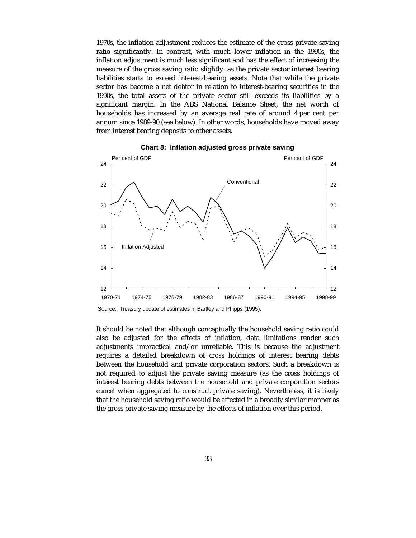1970s, the inflation adjustment reduces the estimate of the gross private saving ratio significantly. In contrast, with much lower inflation in the 1990s, the inflation adjustment is much less significant and has the effect of increasing the measure of the gross saving ratio slightly, as the private sector interest bearing liabilities starts to exceed interest-bearing assets. Note that while the private sector has become a net debtor in relation to interest-bearing securities in the 1990s, the total assets of the private sector still exceeds its liabilities by a significant margin. In the ABS National Balance Sheet, the net worth of households has increased by an average real rate of around 4 per cent per annum since 1989-90 (see below). In other words, households have moved away from interest bearing deposits to other assets.



**Chart 8: Inflation adjusted gross private saving**

It should be noted that although conceptually the household saving ratio could also be adjusted for the effects of inflation, data limitations render such adjustments impractical and/or unreliable. This is because the adjustment requires a detailed breakdown of cross holdings of interest bearing debts between the household and private corporation sectors. Such a breakdown is not required to adjust the private saving measure (as the cross holdings of interest bearing debts between the household and private corporation sectors cancel when aggregated to construct private saving). Nevertheless, it is likely that the household saving ratio would be affected in a broadly similar manner as the gross private saving measure by the effects of inflation over this period.

Source: Treasury update of estimates in Bartley and Phipps (1995).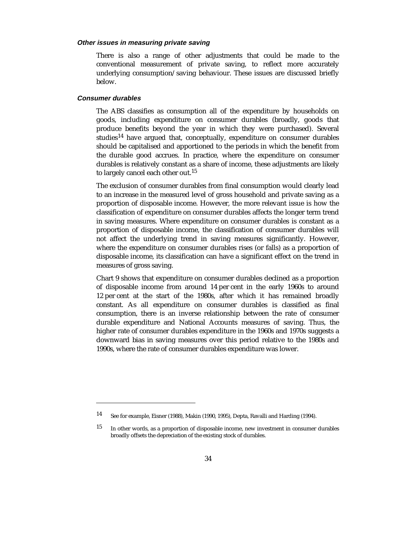#### **Other issues in measuring private saving**

There is also a range of other adjustments that could be made to the conventional measurement of private saving, to reflect more accurately underlying consumption/saving behaviour. These issues are discussed briefly below.

#### **Consumer durables**

-

The ABS classifies as consumption all of the expenditure by households on goods, including expenditure on consumer durables (broadly, goods that produce benefits beyond the year in which they were purchased). Several studies<sup>14</sup> have argued that, conceptually, expenditure on consumer durables should be capitalised and apportioned to the periods in which the benefit from the durable good accrues. In practice, where the expenditure on consumer durables is relatively constant as a share of income, these adjustments are likely to largely cancel each other out.<sup>15</sup>

The exclusion of consumer durables from final consumption would clearly lead to an increase in the measured level of gross household and private saving as a proportion of disposable income. However, the more relevant issue is how the classification of expenditure on consumer durables affects the longer term trend in saving measures. Where expenditure on consumer durables is constant as a proportion of disposable income, the classification of consumer durables will not affect the underlying trend in saving measures significantly. However, where the expenditure on consumer durables rises (or falls) as a proportion of disposable income, its classification can have a significant effect on the trend in measures of gross saving.

Chart 9 shows that expenditure on consumer durables declined as a proportion of disposable income from around 14 per cent in the early 1960s to around 12 per cent at the start of the 1980s, after which it has remained broadly constant. As all expenditure on consumer durables is classified as final consumption, there is an inverse relationship between the rate of consumer durable expenditure and National Accounts measures of saving. Thus, the higher rate of consumer durables expenditure in the 1960s and 1970s suggests a downward bias in saving measures over this period relative to the 1980s and 1990s, where the rate of consumer durables expenditure was lower.

<sup>14</sup> See for example, Eisner (1988), Makin (1990, 1995), Depta, Ravalli and Harding (1994).

<sup>15</sup> In other words, as a proportion of disposable income, new investment in consumer durables broadly offsets the depreciation of the existing stock of durables.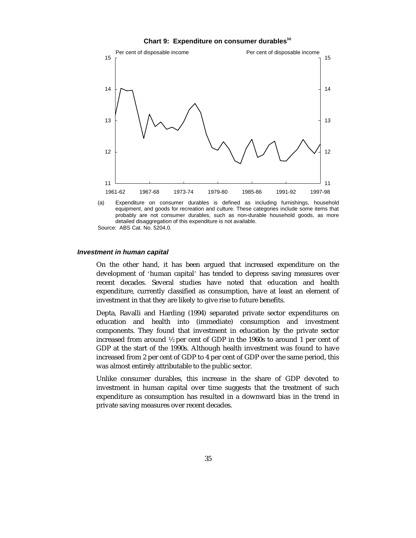



(a) Expenditure on consumer durables is defined as including furnishings, household equipment, and goods for recreation and culture. These categories include some items that probably are not consumer durables, such as non-durable household goods, as more detailed disaggregation of this expenditure is not available. Source: ABS Cat. No. 5204.0.

#### **Investment in human capital**

On the other hand, it has been argued that increased expenditure on the development of 'human capital' has tended to depress saving measures over recent decades. Several studies have noted that education and health expenditure, currently classified as consumption, have at least an element of investment in that they are likely to give rise to future benefits.

Depta, Ravalli and Harding (1994) separated private sector expenditures on education and health into (immediate) consumption and investment components. They found that investment in education by the private sector increased from around ½ per cent of GDP in the 1960s to around 1 per cent of GDP at the start of the 1990s. Although health investment was found to have increased from 2 per cent of GDP to 4 per cent of GDP over the same period, this was almost entirely attributable to the public sector.

Unlike consumer durables, this increase in the share of GDP devoted to investment in human capital over time suggests that the treatment of such expenditure as consumption has resulted in a downward bias in the trend in private saving measures over recent decades.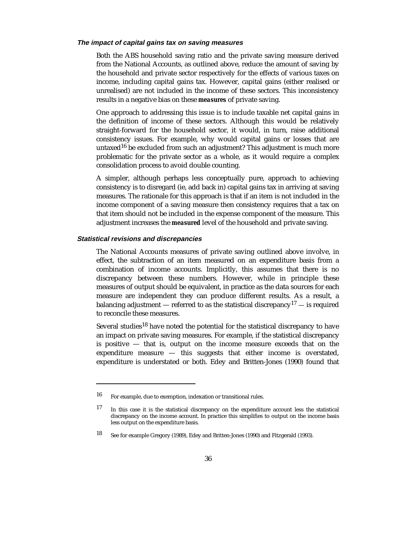#### **The impact of capital gains tax on saving measures**

Both the ABS household saving ratio and the private saving measure derived from the National Accounts, as outlined above, reduce the amount of saving by the household and private sector respectively for the effects of various taxes on income, including capital gains tax. However, capital gains (either realised or unrealised) are not included in the income of these sectors. This inconsistency results in a negative bias on these *measures* of private saving.

One approach to addressing this issue is to include taxable net capital gains in the definition of income of these sectors. Although this would be relatively straight-forward for the household sector, it would, in turn, raise additional consistency issues. For example, why would capital gains or losses that are untaxed<sup>16</sup> be excluded from such an adjustment? This adjustment is much more problematic for the private sector as a whole, as it would require a complex consolidation process to avoid double counting.

A simpler, although perhaps less conceptually pure, approach to achieving consistency is to disregard (ie, add back in) capital gains tax in arriving at saving measures. The rationale for this approach is that if an item is not included in the income component of a saving measure then consistency requires that a tax on that item should not be included in the expense component of the measure. This adjustment increases the *measured* level of the household and private saving.

#### **Statistical revisions and discrepancies**

-

The National Accounts measures of private saving outlined above involve, in effect, the subtraction of an item measured on an expenditure basis from a combination of income accounts. Implicitly, this assumes that there is no discrepancy between these numbers. However, while in principle these measures of output should be equivalent, in practice as the data sources for each measure are independent they can produce different results. As a result, a balancing adjustment — referred to as the statistical discrepancy<sup>17</sup> — is required to reconcile these measures.

Several studies<sup>18</sup> have noted the potential for the statistical discrepancy to have an impact on private saving measures. For example, if the statistical discrepancy is positive — that is, output on the income measure exceeds that on the expenditure measure  $-$  this suggests that either income is overstated, expenditure is understated or both. Edey and Britten-Jones (1990) found that

<sup>16</sup> For example, due to exemption, indexation or transitional rules.

<sup>17</sup> In this case it is the statistical discrepancy on the expenditure account less the statistical discrepancy on the income account. In practice this simplifies to output on the income basis less output on the expenditure basis.

<sup>18</sup> See for example Gregory (1989), Edey and Britten-Jones (1990) and Fitzgerald (1993).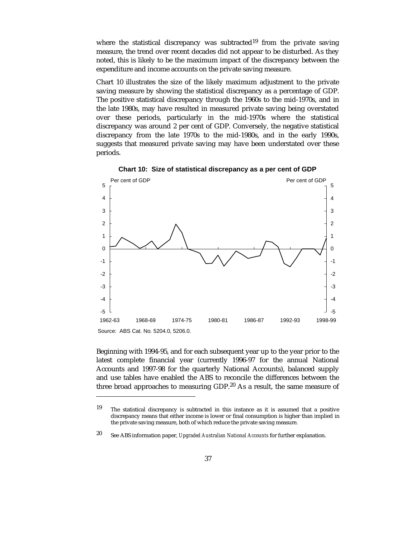where the statistical discrepancy was subtracted<sup>19</sup> from the private saving measure, the trend over recent decades did not appear to be disturbed. As they noted, this is likely to be the maximum impact of the discrepancy between the expenditure and income accounts on the private saving measure.

Chart 10 illustrates the size of the likely maximum adjustment to the private saving measure by showing the statistical discrepancy as a percentage of GDP. The positive statistical discrepancy through the 1960s to the mid-1970s, and in the late 1980s, may have resulted in measured private saving being overstated over these periods, particularly in the mid-1970s where the statistical discrepancy was around 2 per cent of GDP. Conversely, the negative statistical discrepancy from the late 1970s to the mid-1980s, and in the early 1990s, suggests that measured private saving may have been understated over these periods.



**Chart 10: Size of statistical discrepancy as a per cent of GDP**

Beginning with 1994-95, and for each subsequent year up to the year prior to the latest complete financial year (currently 1996-97 for the annual National Accounts and 1997-98 for the quarterly National Accounts), balanced supply and use tables have enabled the ABS to reconcile the differences between the three broad approaches to measuring GDP.<sup>20</sup> As a result, the same measure of

 $\overline{a}$ 

<sup>19</sup> The statistical discrepancy is subtracted in this instance as it is assumed that a positive discrepancy means that either income is lower or final consumption is higher than implied in the private saving measure, both of which reduce the private saving measure.

<sup>20</sup> See ABS information paper, *Upgraded Australian National Accounts* for further explanation.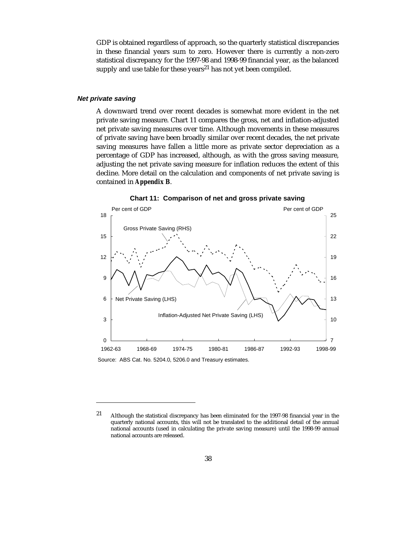GDP is obtained regardless of approach, so the quarterly statistical discrepancies in these financial years sum to zero. However there is currently a non-zero statistical discrepancy for the 1997-98 and 1998-99 financial year, as the balanced supply and use table for these years<sup>21</sup> has not yet been compiled.

#### **Net private saving**

A downward trend over recent decades is somewhat more evident in the net private saving measure. Chart 11 compares the gross, net and inflation-adjusted net private saving measures over time. Although movements in these measures of private saving have been broadly similar over recent decades, the net private saving measures have fallen a little more as private sector depreciation as a percentage of GDP has increased, although, as with the gross saving measure, adjusting the net private saving measure for inflation reduces the extent of this decline. More detail on the calculation and components of net private saving is contained in *Appendix B*.



**Chart 11: Comparison of net and gross private saving**

national accounts are released.

 $\overline{a}$ 21 Although the statistical discrepancy has been eliminated for the 1997-98 financial year in the quarterly national accounts, this will not be translated to the additional detail of the annual national accounts (used in calculating the private saving measure) until the 1998-99 annual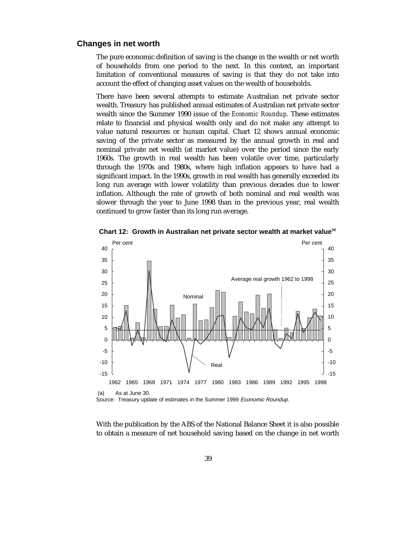# **Changes in net worth**

The pure economic definition of saving is the change in the wealth or net worth of households from one period to the next. In this context, an important limitation of conventional measures of saving is that they do not take into account the effect of changing asset values on the wealth of households.

There have been several attempts to estimate Australian net private sector wealth. Treasury has published annual estimates of Australian net private sector wealth since the Summer 1990 issue of the *Economic Roundup*. These estimates relate to financial and physical wealth only and do not make any attempt to value natural resources or human capital. Chart 12 shows annual economic saving of the private sector as measured by the annual growth in real and nominal private net wealth (at market value) over the period since the early 1960s. The growth in real wealth has been volatile over time, particularly through the 1970s and 1980s, where high inflation appears to have had a significant impact. In the 1990s, growth in real wealth has generally exceeded its long run average with lower volatility than previous decades due to lower inflation. Although the rate of growth of both nominal and real wealth was slower through the year to June 1998 than in the previous year, real wealth continued to grow faster than its long run average.



**Chart 12: Growth in Australian net private sector wealth at market value(a)**

Source: Treasury update of estimates in the Summer 1999 Economic Roundup.

With the publication by the ABS of the National Balance Sheet it is also possible to obtain a measure of net household saving based on the change in net worth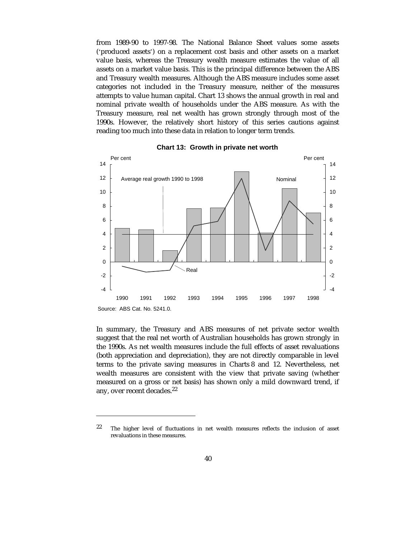from 1989-90 to 1997-98. The National Balance Sheet values some assets ('produced assets') on a replacement cost basis and other assets on a market value basis, whereas the Treasury wealth measure estimates the value of all assets on a market value basis. This is the principal difference between the ABS and Treasury wealth measures. Although the ABS measure includes some asset categories not included in the Treasury measure, neither of the measures attempts to value human capital. Chart 13 shows the annual growth in real and nominal private wealth of households under the ABS measure. As with the Treasury measure, real net wealth has grown strongly through most of the 1990s. However, the relatively short history of this series cautions against reading too much into these data in relation to longer term trends.



**Chart 13: Growth in private net worth**

In summary, the Treasury and ABS measures of net private sector wealth suggest that the real net worth of Australian households has grown strongly in the 1990s. As net wealth measures include the full effects of asset revaluations (both appreciation and depreciation), they are not directly comparable in level terms to the private saving measures in Charts 8 and 12. Nevertheless, net wealth measures are consistent with the view that private saving (whether measured on a gross or net basis) has shown only a mild downward trend, if any, over recent decades.22

-

 $22$  The higher level of fluctuations in net wealth measures reflects the inclusion of asset revaluations in these measures.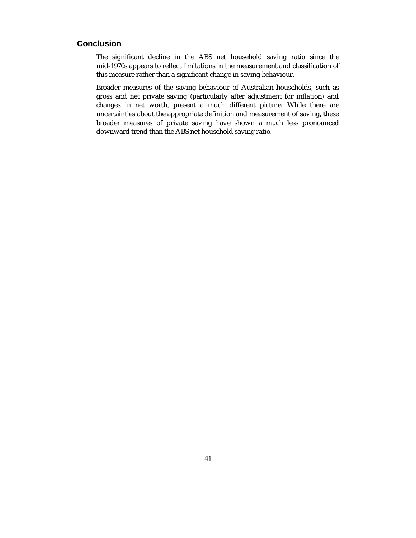# **Conclusion**

The significant decline in the ABS net household saving ratio since the mid-1970s appears to reflect limitations in the measurement and classification of this measure rather than a significant change in saving behaviour.

Broader measures of the saving behaviour of Australian households, such as gross and net private saving (particularly after adjustment for inflation) and changes in net worth, present a much different picture. While there are uncertainties about the appropriate definition and measurement of saving, these broader measures of private saving have shown a much less pronounced downward trend than the ABS net household saving ratio.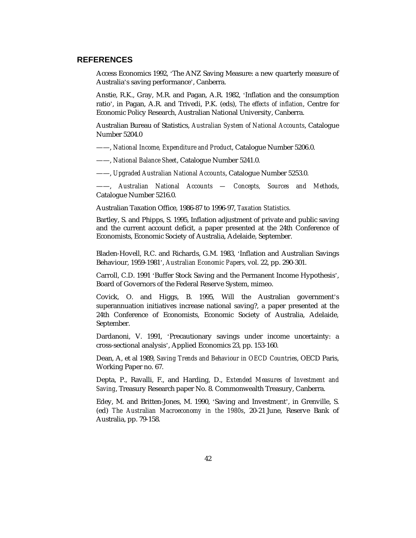# **REFERENCES**

Access Economics 1992, 'The ANZ Saving Measure: a new quarterly measure of Australia's saving performance', Canberra.

Anstie, R.K., Gray, M.R. and Pagan, A.R. 1982, 'Inflation and the consumption ratio', in Pagan, A.R. and Trivedi, P.K. (eds), *The effects of inflation*, Centre for Economic Policy Research, Australian National University, Canberra.

Australian Bureau of Statistics, *Australian System of National Accounts*, Catalogue Number 5204.0

——, *National Income, Expenditure and Product*, Catalogue Number 5206.0.

——, *National Balance Sheet*, Catalogue Number 5241.0.

——, *Upgraded Australian National Accounts*, Catalogue Number 5253.0.

——, *Australian National Accounts — Concepts, Sources and Methods*, Catalogue Number 5216.0.

Australian Taxation Office, 1986-87 to 1996-97, *Taxation Statistics.*

Bartley, S. and Phipps, S. 1995, Inflation adjustment of private and public saving and the current account deficit, a paper presented at the 24th Conference of Economists, Economic Society of Australia, Adelaide, September.

Bladen-Hovell, R.C. and Richards, G.M. 1983, 'Inflation and Australian Savings Behaviour, 1959-1981', *Australian Economic Papers*, vol. 22, pp. 290-301.

Carroll, C.D. 1991 'Buffer Stock Saving and the Permanent Income Hypothesis', Board of Governors of the Federal Reserve System, mimeo.

Covick, O. and Higgs, B. 1995, Will the Australian government's superannuation initiatives increase national saving?, a paper presented at the 24th Conference of Economists, Economic Society of Australia, Adelaide, September.

Dardanoni, V. 1991, 'Precautionary savings under income uncertainty: a cross-sectional analysis', Applied Economics 23, pp. 153-160.

Dean, A, et al 1989, *Saving Trends and Behaviour in OECD Countries*, OECD Paris, Working Paper no. 67.

Depta, P., Ravalli, F., and Harding, D., *Extended Measures of Investment and Saving*, Treasury Research paper No. 8. Commonwealth Treasury, Canberra.

Edey, M. and Britten-Jones, M. 1990, 'Saving and Investment', in Grenville, S. (ed) *The Australian Macroeconomy in the 1980s*, 20-21 June, Reserve Bank of Australia, pp. 79-158.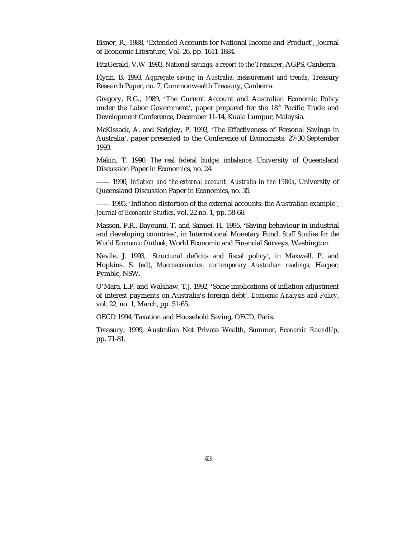Eisner, R., 1988, 'Extended Accounts for National Income and Product', Journal of Economic Literature, Vol. 26, pp. 1611-1684.

FitzGerald, V.W. 1993, *National savings: a report to the Treasurer*, AGPS, Canberra.

Flynn, B. 1993, *Aggregate saving in Australia: measurement and trends*, Treasury Research Paper, no. 7, Commonwealth Treasury, Canberra.

Gregory, R.G., 1989, 'The Current Account and Australian Economic Policy under the Labor Government', paper prepared for the  $18<sup>th</sup>$  Pacific Trade and Development Conference, December 11-14, Kuala Lumpur, Malaysia.

McKissack, A. and Sedgley, P. 1993, 'The Effectiveness of Personal Savings in Australia', paper presented to the Conference of Economists, 27-30 September 1993.

Makin, T. 1990, *The real federal budget imbalance*, University of Queensland Discussion Paper in Economics, no. 24.

—— 1990, *Inflation and the external account: Australia in the 1980s*, University of Queensland Discussion Paper in Economics, no. 35.

—— 1995, 'Inflation distortion of the external accounts: the Australian example'*, Journal of Economic Studies*, vol. 22 no. 1, pp. 58-66.

Masson, P.R., Bayoumi, T. and Samiei, H. 1995, 'Saving behaviour in industrial and developing countries', in International Monetary Fund, *Staff Studies for the World Economic Outlook*, World Economic and Financial Surveys, Washington.

Nevile, J. 1993, 'Structural deficits and fiscal policy', in Maxwell, P. and Hopkins, S. (ed), *Macroeconomics, contemporary Australian readings*, Harper, Pymble, NSW.

O'Mara, L.P. and Walshaw, T.J. 1992, 'Some implications of inflation adjustment of interest payments on Australia's foreign debt', *Economic Analysis and Policy*, vol. 22, no. 1, March, pp. 51-65.

OECD 1994, Taxation and Household Saving, OECD, Paris.

Treasury, 1999, Australian Net Private Wealth, Summer, *Economic RoundUp*, pp. 71-81.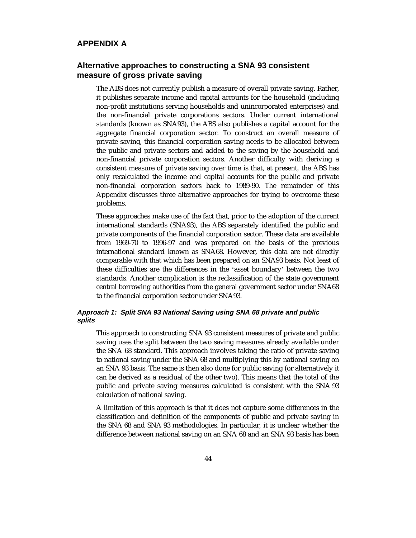# **APPENDIX A**

# **Alternative approaches to constructing a SNA 93 consistent measure of gross private saving**

The ABS does not currently publish a measure of overall private saving. Rather, it publishes separate income and capital accounts for the household (including non-profit institutions serving households and unincorporated enterprises) and the non-financial private corporations sectors. Under current international standards (known as SNA93), the ABS also publishes a capital account for the aggregate financial corporation sector. To construct an overall measure of private saving, this financial corporation saving needs to be allocated between the public and private sectors and added to the saving by the household and non-financial private corporation sectors. Another difficulty with deriving a consistent measure of private saving over time is that, at present, the ABS has only recalculated the income and capital accounts for the public and private non-financial corporation sectors back to 1989-90. The remainder of this Appendix discusses three alternative approaches for trying to overcome these problems.

These approaches make use of the fact that, prior to the adoption of the current international standards (SNA93), the ABS separately identified the public and private components of the financial corporation sector. These data are available from 1969-70 to 1996-97 and was prepared on the basis of the previous international standard known as SNA68. However, this data are not directly comparable with that which has been prepared on an SNA93 basis. Not least of these difficulties are the differences in the 'asset boundary' between the two standards. Another complication is the reclassification of the state government central borrowing authorities from the general government sector under SNA68 to the financial corporation sector under SNA93.

# **Approach 1: Split SNA 93 National Saving using SNA 68 private and public splits**

This approach to constructing SNA 93 consistent measures of private and public saving uses the split between the two saving measures already available under the SNA 68 standard. This approach involves taking the ratio of private saving to national saving under the SNA 68 and multiplying this by national saving on an SNA 93 basis. The same is then also done for public saving (or alternatively it can be derived as a residual of the other two). This means that the total of the public and private saving measures calculated is consistent with the SNA 93 calculation of national saving.

A limitation of this approach is that it does not capture some differences in the classification and definition of the components of public and private saving in the SNA 68 and SNA 93 methodologies. In particular, it is unclear whether the difference between national saving on an SNA 68 and an SNA 93 basis has been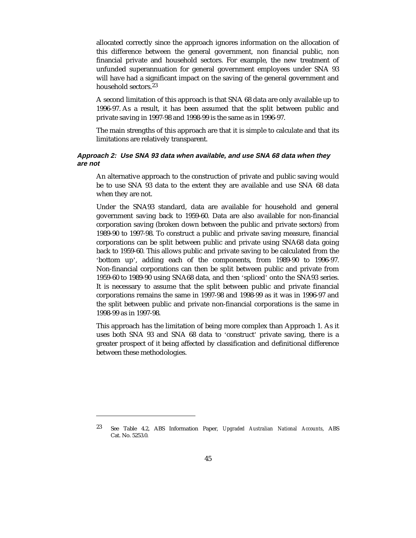allocated correctly since the approach ignores information on the allocation of this difference between the general government, non financial public, non financial private and household sectors. For example, the new treatment of unfunded superannuation for general government employees under SNA 93 will have had a significant impact on the saving of the general government and household sectors.<sup>23</sup>

A second limitation of this approach is that SNA 68 data are only available up to 1996-97. As a result, it has been assumed that the split between public and private saving in 1997-98 and 1998-99 is the same as in 1996-97.

The main strengths of this approach are that it is simple to calculate and that its limitations are relatively transparent.

### **Approach 2: Use SNA 93 data when available, and use SNA 68 data when they are not**

An alternative approach to the construction of private and public saving would be to use SNA 93 data to the extent they are available and use SNA 68 data when they are not.

Under the SNA93 standard, data are available for household and general government saving back to 1959-60. Data are also available for non-financial corporation saving (broken down between the public and private sectors) from 1989-90 to 1997-98. To construct a public and private saving measure, financial corporations can be split between public and private using SNA68 data going back to 1959-60. This allows public and private saving to be calculated from the 'bottom up', adding each of the components, from 1989-90 to 1996-97. Non-financial corporations can then be split between public and private from 1959-60 to 1989-90 using SNA68 data, and then 'spliced' onto the SNA93 series. It is necessary to assume that the split between public and private financial corporations remains the same in 1997-98 and 1998-99 as it was in 1996-97 and the split between public and private non-financial corporations is the same in 1998-99 as in 1997-98.

This approach has the limitation of being more complex than Approach 1. As it uses both SNA 93 and SNA 68 data to 'construct' private saving, there is a greater prospect of it being affected by classification and definitional difference between these methodologies.

-

<sup>23</sup> See Table 4.2, ABS Information Paper, *Upgraded Australian National Accounts*, ABS Cat. No. 5253.0.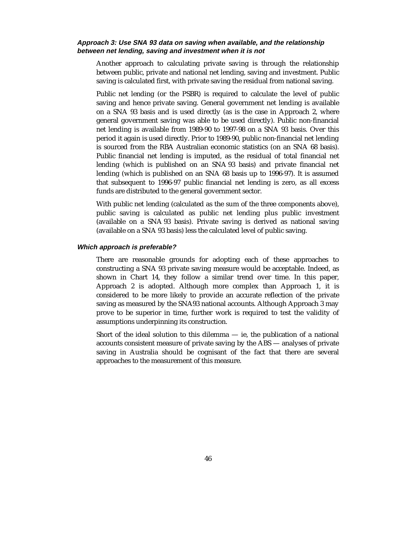#### **Approach 3: Use SNA 93 data on saving when available, and the relationship between net lending, saving and investment when it is not**

Another approach to calculating private saving is through the relationship between public, private and national net lending, saving and investment. Public saving is calculated first, with private saving the residual from national saving.

Public net lending (or the PSBR) is required to calculate the level of public saving and hence private saving. General government net lending is available on a SNA 93 basis and is used directly (as is the case in Approach 2, where general government saving was able to be used directly). Public non-financial net lending is available from 1989-90 to 1997-98 on a SNA 93 basis. Over this period it again is used directly. Prior to 1989-90, public non-financial net lending is sourced from the RBA Australian economic statistics (on an SNA 68 basis). Public financial net lending is imputed, as the residual of total financial net lending (which is published on an SNA 93 basis) and private financial net lending (which is published on an SNA 68 basis up to 1996-97). It is assumed that subsequent to 1996-97 public financial net lending is zero, as all excess funds are distributed to the general government sector.

With public net lending (calculated as the sum of the three components above), public saving is calculated as public net lending plus public investment (available on a SNA 93 basis). Private saving is derived as national saving (available on a SNA 93 basis) less the calculated level of public saving.

#### **Which approach is preferable?**

There are reasonable grounds for adopting each of these approaches to constructing a SNA 93 private saving measure would be acceptable. Indeed, as shown in Chart 14, they follow a similar trend over time. In this paper, Approach 2 is adopted. Although more complex than Approach 1, it is considered to be more likely to provide an accurate reflection of the private saving as measured by the SNA93 national accounts. Although Approach 3 may prove to be superior in time, further work is required to test the validity of assumptions underpinning its construction.

Short of the ideal solution to this dilemma  $-$  ie, the publication of a national accounts consistent measure of private saving by the ABS — analyses of private saving in Australia should be cognisant of the fact that there are several approaches to the measurement of this measure.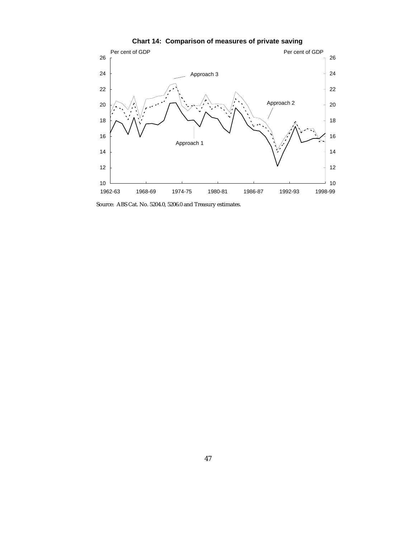

**Chart 14: Comparison of measures of private saving**

Source: ABS Cat. No. 5204.0, 5206.0 and Treasury estimates.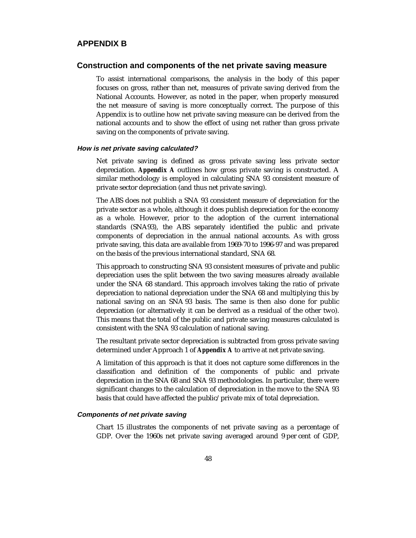### **APPENDIX B**

#### **Construction and components of the net private saving measure**

To assist international comparisons, the analysis in the body of this paper focuses on gross, rather than net, measures of private saving derived from the National Accounts. However, as noted in the paper, when properly measured the net measure of saving is more conceptually correct. The purpose of this Appendix is to outline how net private saving measure can be derived from the national accounts and to show the effect of using net rather than gross private saving on the components of private saving.

#### **How is net private saving calculated?**

Net private saving is defined as gross private saving less private sector depreciation. *Appendix A* outlines how gross private saving is constructed. A similar methodology is employed in calculating SNA 93 consistent measure of private sector depreciation (and thus net private saving).

The ABS does not publish a SNA 93 consistent measure of depreciation for the private sector as a whole, although it does publish depreciation for the economy as a whole. However, prior to the adoption of the current international standards (SNA93), the ABS separately identified the public and private components of depreciation in the annual national accounts. As with gross private saving, this data are available from 1969-70 to 1996-97 and was prepared on the basis of the previous international standard, SNA 68.

This approach to constructing SNA 93 consistent measures of private and public depreciation uses the split between the two saving measures already available under the SNA 68 standard. This approach involves taking the ratio of private depreciation to national depreciation under the SNA 68 and multiplying this by national saving on an SNA 93 basis. The same is then also done for public depreciation (or alternatively it can be derived as a residual of the other two). This means that the total of the public and private saving measures calculated is consistent with the SNA 93 calculation of national saving.

The resultant private sector depreciation is subtracted from gross private saving determined under Approach 1 of *Appendix A* to arrive at net private saving.

A limitation of this approach is that it does not capture some differences in the classification and definition of the components of public and private depreciation in the SNA 68 and SNA 93 methodologies. In particular, there were significant changes to the calculation of depreciation in the move to the SNA 93 basis that could have affected the public/private mix of total depreciation.

### **Components of net private saving**

Chart 15 illustrates the components of net private saving as a percentage of GDP. Over the 1960s net private saving averaged around 9 per cent of GDP,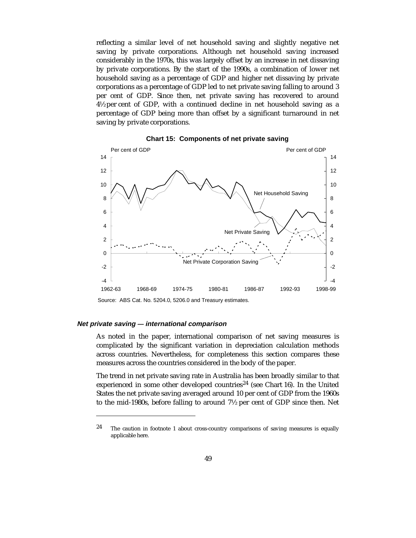reflecting a similar level of net household saving and slightly negative net saving by private corporations. Although net household saving increased considerably in the 1970s, this was largely offset by an increase in net dissaving by private corporations. By the start of the 1990s, a combination of lower net household saving as a percentage of GDP and higher net dissaving by private corporations as a percentage of GDP led to net private saving falling to around 3 per cent of GDP. Since then, net private saving has recovered to around 4½ per cent of GDP, with a continued decline in net household saving as a percentage of GDP being more than offset by a significant turnaround in net saving by private corporations.



**Chart 15: Components of net private saving**

Source: ABS Cat. No. 5204.0, 5206.0 and Treasury estimates.

#### **Net private saving — international comparison**

-

As noted in the paper, international comparison of net saving measures is complicated by the significant variation in depreciation calculation methods across countries. Nevertheless, for completeness this section compares these measures across the countries considered in the body of the paper.

The trend in net private saving rate in Australia has been broadly similar to that experienced in some other developed countries<sup>24</sup> (see Chart 16). In the United States the net private saving averaged around 10 per cent of GDP from the 1960s to the mid-1980s, before falling to around 7½ per cent of GDP since then. Net

 $24$  The caution in footnote 1 about cross-country comparisons of saving measures is equally applicable here.